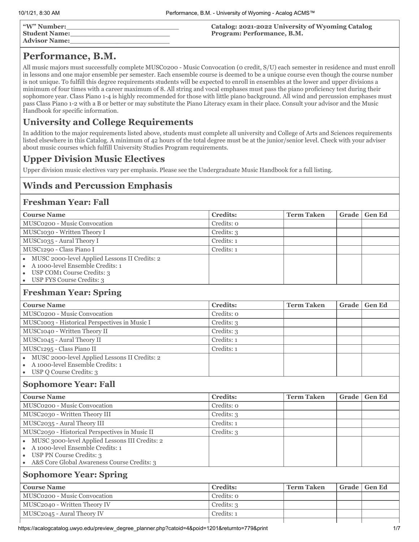| "W" Number:<br>  Student Name:<br>  Advisor Name: | Catalog: 2021-2022 University of Wyoming Catalog<br>Program: Performance, B.M. |
|---------------------------------------------------|--------------------------------------------------------------------------------|
|                                                   |                                                                                |

# **Performance, B.M.**

All music majors must successfully complete MUSC0200 - Music Convocation (0 credit, S/U) each semester in residence and must enroll in lessons and one major ensemble per semester. Each ensemble course is deemed to be a unique course even though the course number is not unique. To fulfill this degree requirements students will be expected to enroll in ensembles at the lower and upper divisions a minimum of four times with a career maximum of 8. All string and vocal emphases must pass the piano proficiency test during their sophomore year. Class Piano 1-4 is highly recommended for those with little piano background. All wind and percussion emphases must pass Class Piano 1-2 with a B or better or may substitute the Piano Literacy exam in their place. Consult your advisor and the Music Handbook for specific information.

# **University and College Requirements**

In addition to the major requirements listed above, students must complete all university and College of Arts and Sciences requirements listed elsewhere in this Catalog. A minimum of 42 hours of the total degree must be at the junior/senior level. Check with your adviser about music courses which fulfill University Studies Program requirements.

## **Upper Division Music Electives**

Upper division music electives vary per emphasis. Please see the Undergraduate Music Handbook for a full listing.

# **Winds and Percussion Emphasis**

### **Freshman Year: Fall**

| <b>Course Name</b>                                                                                                                                                                             | <b>Credits:</b> | <b>Term Taken</b> | Grade | <b>Gen Ed</b> |
|------------------------------------------------------------------------------------------------------------------------------------------------------------------------------------------------|-----------------|-------------------|-------|---------------|
| MUSC0200 - Music Convocation                                                                                                                                                                   | Credits: 0      |                   |       |               |
| MUSC1030 - Written Theory I                                                                                                                                                                    | Credits: 3      |                   |       |               |
| MUSC1035 - Aural Theory I                                                                                                                                                                      | Credits: 1      |                   |       |               |
| MUSC1290 - Class Piano I                                                                                                                                                                       | Credits: 1      |                   |       |               |
| MUSC 2000-level Applied Lessons II Credits: 2<br>A 1000-level Ensemble Credits: 1<br>USP COM <sub>1</sub> Course Credits: 3<br>$\bullet$<br>USP FYS Course Credits: 3<br>$\bullet$             |                 |                   |       |               |
| <b>Freshman Year: Spring</b>                                                                                                                                                                   |                 |                   |       |               |
| <b>Course Name</b>                                                                                                                                                                             | <b>Credits:</b> | <b>Term Taken</b> | Grade | <b>Gen Ed</b> |
| MUSC0200 - Music Convocation                                                                                                                                                                   | Credits: o      |                   |       |               |
| MUSC1003 - Historical Perspectives in Music I                                                                                                                                                  | Credits: 3      |                   |       |               |
| MUSC1040 - Written Theory II                                                                                                                                                                   | Credits: 3      |                   |       |               |
| MUSC1045 - Aural Theory II                                                                                                                                                                     | Credits: 1      |                   |       |               |
| MUSC1295 - Class Piano II                                                                                                                                                                      | Credits: 1      |                   |       |               |
| MUSC 2000-level Applied Lessons II Credits: 2<br>A 1000-level Ensemble Credits: 1<br>USP Q Course Credits: 3<br>$\bullet$                                                                      |                 |                   |       |               |
| <b>Sophomore Year: Fall</b>                                                                                                                                                                    |                 |                   |       |               |
| <b>Course Name</b>                                                                                                                                                                             | <b>Credits:</b> | <b>Term Taken</b> | Grade | <b>Gen Ed</b> |
| MUSC0200 - Music Convocation                                                                                                                                                                   | Credits: o      |                   |       |               |
| MUSC2030 - Written Theory III                                                                                                                                                                  | Credits: 3      |                   |       |               |
| MUSC2035 - Aural Theory III                                                                                                                                                                    | Credits: 1      |                   |       |               |
| MUSC2050 - Historical Perspectives in Music II                                                                                                                                                 | Credits: 3      |                   |       |               |
| MUSC 3000-level Applied Lessons III Credits: 2<br>$\bullet$<br>A 1000-level Ensemble Credits: 1<br>$\bullet$<br><b>USP PN Course Credits: 3</b><br>A&S Core Global Awareness Course Credits: 3 |                 |                   |       |               |
| <b>Sophomore Year: Spring</b>                                                                                                                                                                  |                 |                   |       |               |
| <b>Course Name</b>                                                                                                                                                                             | <b>Credits:</b> | <b>Term Taken</b> | Grade | <b>Gen Ed</b> |
| MUSC0200 - Music Convocation                                                                                                                                                                   | Credits: o      |                   |       |               |
| MUSC2040 - Written Theory IV                                                                                                                                                                   | Credits: 3      |                   |       |               |
| MUSC2045 - Aural Theory IV                                                                                                                                                                     | Credits: 1      |                   |       |               |
|                                                                                                                                                                                                |                 |                   |       |               |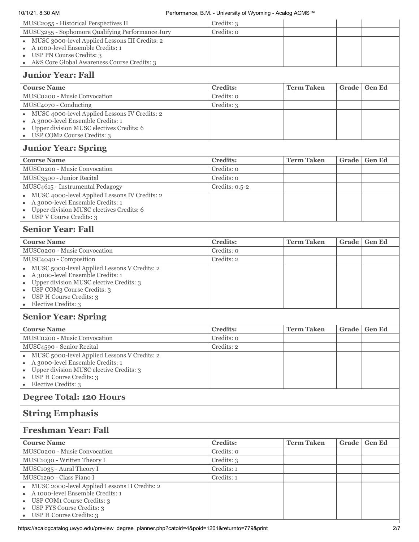|                                                                                           | Credits: 3                    |                   |       |               |
|-------------------------------------------------------------------------------------------|-------------------------------|-------------------|-------|---------------|
| MUSC2055 - Historical Perspectives II<br>MUSC3255 - Sophomore Qualifying Performance Jury | Credits: 0                    |                   |       |               |
| MUSC 3000-level Applied Lessons III Credits: 2                                            |                               |                   |       |               |
| A 1000-level Ensemble Credits: 1                                                          |                               |                   |       |               |
| USP PN Course Credits: 3                                                                  |                               |                   |       |               |
| A&S Core Global Awareness Course Credits: 3<br>$\bullet$                                  |                               |                   |       |               |
| <b>Junior Year: Fall</b>                                                                  |                               |                   |       |               |
| <b>Course Name</b>                                                                        | <b>Credits:</b>               | <b>Term Taken</b> | Grade | <b>Gen Ed</b> |
| MUSC0200 - Music Convocation                                                              | Credits: 0                    |                   |       |               |
| MUSC4070 - Conducting                                                                     | Credits: 3                    |                   |       |               |
| MUSC 4000-level Applied Lessons IV Credits: 2                                             |                               |                   |       |               |
| A 3000-level Ensemble Credits: 1                                                          |                               |                   |       |               |
| Upper division MUSC electives Credits: 6<br>USP COM2 Course Credits: 3<br>$\bullet$       |                               |                   |       |               |
|                                                                                           |                               |                   |       |               |
| <b>Junior Year: Spring</b>                                                                |                               |                   |       |               |
| <b>Course Name</b>                                                                        | <b>Credits:</b>               | <b>Term Taken</b> | Grade | <b>Gen Ed</b> |
| MUSC0200 - Music Convocation                                                              | Credits: 0                    |                   |       |               |
| MUSC3500 - Junior Recital                                                                 | Credits: 0                    |                   |       |               |
| MUSC4615 - Instrumental Pedagogy                                                          | Credits: $0.5 - 2$            |                   |       |               |
| MUSC 4000-level Applied Lessons IV Credits: 2                                             |                               |                   |       |               |
| A 3000-level Ensemble Credits: 1<br>Upper division MUSC electives Credits: 6              |                               |                   |       |               |
| USP V Course Credits: 3<br>$\bullet$                                                      |                               |                   |       |               |
| <b>Senior Year: Fall</b>                                                                  |                               |                   |       |               |
| <b>Course Name</b>                                                                        | <b>Credits:</b>               | <b>Term Taken</b> | Grade | <b>Gen Ed</b> |
| MUSC0200 - Music Convocation                                                              | Credits: 0                    |                   |       |               |
| MUSC4040 - Composition                                                                    | Credits: 2                    |                   |       |               |
| MUSC 5000-level Applied Lessons V Credits: 2                                              |                               |                   |       |               |
| A 3000-level Ensemble Credits: 1                                                          |                               |                   |       |               |
| Upper division MUSC elective Credits: 3                                                   |                               |                   |       |               |
| USP COM3 Course Credits: 3<br>USP H Course Credits: 3                                     |                               |                   |       |               |
| Elective Credits: 3                                                                       |                               |                   |       |               |
| <b>Senior Year: Spring</b>                                                                |                               |                   |       |               |
| <b>Course Name</b>                                                                        | <b>Credits:</b>               | <b>Term Taken</b> | Grade | <b>Gen Ed</b> |
| MUSC0200 - Music Convocation                                                              | Credits: 0                    |                   |       |               |
| MUSC4590 - Senior Recital                                                                 | Credits: 2                    |                   |       |               |
| MUSC 5000-level Applied Lessons V Credits: 2                                              |                               |                   |       |               |
| A 3000-level Ensemble Credits: 1                                                          |                               |                   |       |               |
| Upper division MUSC elective Credits: 3                                                   |                               |                   |       |               |
| USP H Course Credits: 3<br>Elective Credits: 3                                            |                               |                   |       |               |
| <b>Degree Total: 120 Hours</b>                                                            |                               |                   |       |               |
| <b>String Emphasis</b>                                                                    |                               |                   |       |               |
|                                                                                           |                               |                   |       |               |
| <b>Freshman Year: Fall</b>                                                                |                               |                   |       |               |
| <b>Course Name</b>                                                                        | <b>Credits:</b><br>Credits: o | <b>Term Taken</b> | Grade | <b>Gen Ed</b> |
| MUSC0200 - Music Convocation                                                              |                               |                   |       |               |
| MUSC1030 - Written Theory I<br>MUSC1035 - Aural Theory I                                  | Credits: 3<br>Credits: 1      |                   |       |               |
| MUSC1290 - Class Piano I                                                                  | Credits: 1                    |                   |       |               |
| MUSC 2000-level Applied Lessons II Credits: 2                                             |                               |                   |       |               |
| A 1000-level Ensemble Credits: 1                                                          |                               |                   |       |               |
| USP COM1 Course Credits: 3                                                                |                               |                   |       |               |
| USP FYS Course Credits: 3<br>USP H Course Credits: 3                                      |                               |                   |       |               |
|                                                                                           |                               |                   |       |               |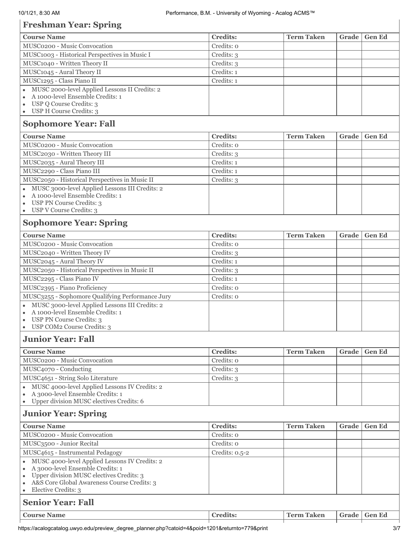# **Freshman Year: Spring**

| <b>Course Name</b>                                                                                                | <b>Credits:</b>    | <b>Term Taken</b> | Grade | <b>Gen Ed</b> |
|-------------------------------------------------------------------------------------------------------------------|--------------------|-------------------|-------|---------------|
| MUSC0200 - Music Convocation                                                                                      | Credits: o         |                   |       |               |
| MUSC1003 - Historical Perspectives in Music I                                                                     | Credits: 3         |                   |       |               |
| MUSC1040 - Written Theory II                                                                                      | Credits: 3         |                   |       |               |
| MUSC1045 - Aural Theory II                                                                                        | Credits: 1         |                   |       |               |
| MUSC1295 - Class Piano II                                                                                         | Credits: 1         |                   |       |               |
| MUSC 2000-level Applied Lessons II Credits: 2                                                                     |                    |                   |       |               |
| A 1000-level Ensemble Credits: 1                                                                                  |                    |                   |       |               |
| USP Q Course Credits: 3<br>$\bullet$                                                                              |                    |                   |       |               |
| • USP H Course Credits: 3                                                                                         |                    |                   |       |               |
| <b>Sophomore Year: Fall</b>                                                                                       |                    |                   |       |               |
| <b>Course Name</b>                                                                                                | <b>Credits:</b>    | <b>Term Taken</b> | Grade | <b>Gen Ed</b> |
| MUSC0200 - Music Convocation                                                                                      | Credits: o         |                   |       |               |
| MUSC2030 - Written Theory III                                                                                     | Credits: 3         |                   |       |               |
| MUSC2035 - Aural Theory III                                                                                       | Credits: 1         |                   |       |               |
| MUSC2290 - Class Piano III                                                                                        | Credits: 1         |                   |       |               |
| MUSC2050 - Historical Perspectives in Music II                                                                    | Credits: 3         |                   |       |               |
| MUSC 3000-level Applied Lessons III Credits: 2                                                                    |                    |                   |       |               |
| A 1000-level Ensemble Credits: 1<br>USP PN Course Credits: 3<br>$\bullet$                                         |                    |                   |       |               |
| USP V Course Credits: 3<br>$\bullet$                                                                              |                    |                   |       |               |
| <b>Sophomore Year: Spring</b>                                                                                     |                    |                   |       |               |
| <b>Course Name</b>                                                                                                | <b>Credits:</b>    | <b>Term Taken</b> | Grade | <b>Gen Ed</b> |
| MUSC0200 - Music Convocation                                                                                      | Credits: o         |                   |       |               |
| MUSC2040 - Written Theory IV                                                                                      | Credits: 3         |                   |       |               |
| MUSC2045 - Aural Theory IV                                                                                        | Credits: 1         |                   |       |               |
| MUSC2050 - Historical Perspectives in Music II                                                                    | Credits: 3         |                   |       |               |
| MUSC2295 - Class Piano IV                                                                                         | Credits: 1         |                   |       |               |
| MUSC2395 - Piano Proficiency                                                                                      | Credits: o         |                   |       |               |
| MUSC3255 - Sophomore Qualifying Performance Jury                                                                  | Credits: o         |                   |       |               |
| • MUSC 3000-level Applied Lessons III Credits: 2                                                                  |                    |                   |       |               |
| A 1000-level Ensemble Credits: 1<br>$\bullet$                                                                     |                    |                   |       |               |
| <b>USP PN Course Credits: 3</b><br>USP COM2 Course Credits: 3                                                     |                    |                   |       |               |
| <b>Junior Year: Fall</b>                                                                                          |                    |                   |       |               |
| <b>Course Name</b>                                                                                                | <b>Credits:</b>    | <b>Term Taken</b> | Grade | <b>Gen Ed</b> |
| MUSC0200 - Music Convocation                                                                                      | Credits: o         |                   |       |               |
| MUSC4070 - Conducting                                                                                             | Credits: 3         |                   |       |               |
| MUSC4651 - String Solo Literature                                                                                 | Credits: 3         |                   |       |               |
| • MUSC 4000-level Applied Lessons IV Credits: 2                                                                   |                    |                   |       |               |
| A 3000-level Ensemble Credits: 1<br>$\bullet$                                                                     |                    |                   |       |               |
| Upper division MUSC electives Credits: 6<br>$\bullet$                                                             |                    |                   |       |               |
| <b>Junior Year: Spring</b>                                                                                        |                    |                   |       |               |
| <b>Course Name</b>                                                                                                | <b>Credits:</b>    | <b>Term Taken</b> | Grade | <b>Gen Ed</b> |
| MUSC0200 - Music Convocation                                                                                      | Credits: o         |                   |       |               |
| MUSC3500 - Junior Recital                                                                                         | Credits: o         |                   |       |               |
| MUSC4615 - Instrumental Pedagogy                                                                                  | Credits: $0.5 - 2$ |                   |       |               |
| • MUSC 4000-level Applied Lessons IV Credits: 2                                                                   |                    |                   |       |               |
| A 3000-level Ensemble Credits: 1<br>$\bullet$                                                                     |                    |                   |       |               |
| Upper division MUSC electives Credits: 3<br>$\bullet$<br>A&S Core Global Awareness Course Credits: 3<br>$\bullet$ |                    |                   |       |               |
| Elective Credits: 3<br>$\bullet$                                                                                  |                    |                   |       |               |
| <b>Senior Year: Fall</b>                                                                                          |                    |                   |       |               |
| <b>Course Name</b>                                                                                                | <b>Credits:</b>    | <b>Term Taken</b> | Grade | <b>Gen Ed</b> |
|                                                                                                                   |                    |                   |       |               |

https://acalogcatalog.uwyo.edu/preview\_degree\_planner.php?catoid=4&poid=1201&returnto=779&print 3/7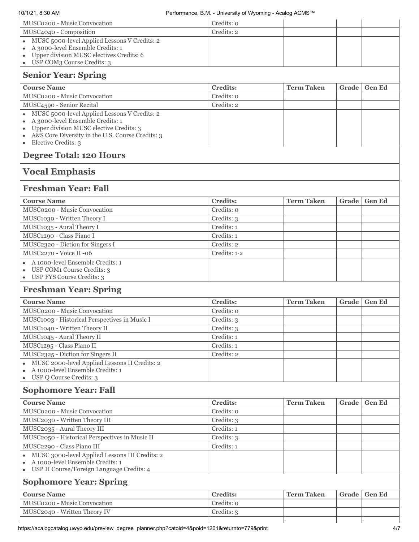| MUSC0200 - Music Convocation                                                                                          | Credits: o               |                   |       |               |
|-----------------------------------------------------------------------------------------------------------------------|--------------------------|-------------------|-------|---------------|
| MUSC4040 - Composition                                                                                                | Credits: 2               |                   |       |               |
| • MUSC 5000-level Applied Lessons V Credits: 2                                                                        |                          |                   |       |               |
| A 3000-level Ensemble Credits: 1<br>$\bullet$                                                                         |                          |                   |       |               |
| Upper division MUSC electives Credits: 6<br>$\bullet$                                                                 |                          |                   |       |               |
| USP COM3 Course Credits: 3<br>٠                                                                                       |                          |                   |       |               |
| <b>Senior Year: Spring</b>                                                                                            |                          |                   |       |               |
| <b>Course Name</b>                                                                                                    | <b>Credits:</b>          | <b>Term Taken</b> | Grade | <b>Gen Ed</b> |
| MUSC0200 - Music Convocation                                                                                          | Credits: o               |                   |       |               |
| MUSC4590 - Senior Recital                                                                                             | Credits: 2               |                   |       |               |
| MUSC 5000-level Applied Lessons V Credits: 2<br>$\bullet$                                                             |                          |                   |       |               |
| A 3000-level Ensemble Credits: 1<br>$\bullet$                                                                         |                          |                   |       |               |
| Upper division MUSC elective Credits: 3<br>$\bullet$<br>A&S Core Diversity in the U.S. Course Credits: 3<br>$\bullet$ |                          |                   |       |               |
| Elective Credits: 3<br>$\bullet$                                                                                      |                          |                   |       |               |
| <b>Degree Total: 120 Hours</b>                                                                                        |                          |                   |       |               |
| <b>Vocal Emphasis</b>                                                                                                 |                          |                   |       |               |
| <b>Freshman Year: Fall</b>                                                                                            |                          |                   |       |               |
|                                                                                                                       |                          |                   |       |               |
| <b>Course Name</b>                                                                                                    | <b>Credits:</b>          | <b>Term Taken</b> | Grade | <b>Gen Ed</b> |
| MUSC0200 - Music Convocation                                                                                          | Credits: 0               |                   |       |               |
| MUSC1030 - Written Theory I                                                                                           | Credits: 3<br>Credits: 1 |                   |       |               |
| MUSC1035 - Aural Theory I<br>MUSC1290 - Class Piano I                                                                 | Credits: 1               |                   |       |               |
| MUSC2320 - Diction for Singers I                                                                                      | Credits: 2               |                   |       |               |
| MUSC2270 - Voice II -06                                                                                               | Credits: 1-2             |                   |       |               |
| A 1000-level Ensemble Credits: 1                                                                                      |                          |                   |       |               |
| USP COM1 Course Credits: 3<br>$\bullet$                                                                               |                          |                   |       |               |
| USP FYS Course Credits: 3<br>$\bullet$                                                                                |                          |                   |       |               |
| <b>Freshman Year: Spring</b>                                                                                          |                          |                   |       |               |
| <b>Course Name</b>                                                                                                    | <b>Credits:</b>          | <b>Term Taken</b> | Grade | <b>Gen Ed</b> |
| MUSC0200 - Music Convocation                                                                                          | Credits: o               |                   |       |               |
| MUSC1003 - Historical Perspectives in Music I                                                                         | Credits: 3               |                   |       |               |
| MUSC1040 - Written Theory II                                                                                          | Credits: 3               |                   |       |               |
| MUSC1045 - Aural Theory II                                                                                            | Credits: 1               |                   |       |               |
| MUSC1295 - Class Piano II                                                                                             | Credits: 1               |                   |       |               |
| MUSC2325 - Diction for Singers II                                                                                     | Credits: 2               |                   |       |               |
| MUSC 2000-level Applied Lessons II Credits: 2                                                                         |                          |                   |       |               |
| A 1000-level Ensemble Credits: 1                                                                                      |                          |                   |       |               |
| USP Q Course Credits: 3<br>$\bullet$                                                                                  |                          |                   |       |               |
| <b>Sophomore Year: Fall</b>                                                                                           |                          |                   |       |               |
| <b>Course Name</b>                                                                                                    | <b>Credits:</b>          | <b>Term Taken</b> | Grade | <b>Gen Ed</b> |
| MUSC0200 - Music Convocation                                                                                          | Credits: o               |                   |       |               |
| MUSC2030 - Written Theory III                                                                                         | Credits: 3               |                   |       |               |
| MUSC2035 - Aural Theory III                                                                                           | Credits: 1               |                   |       |               |
| MUSC2050 - Historical Perspectives in Music II                                                                        | Credits: 3               |                   |       |               |
| MUSC2290 - Class Piano III                                                                                            | Credits: 1               |                   |       |               |
| MUSC 3000-level Applied Lessons III Credits: 2<br>A 1000-level Ensemble Credits: 1                                    |                          |                   |       |               |
| USP H Course/Foreign Language Credits: 4                                                                              |                          |                   |       |               |
| <b>Sophomore Year: Spring</b>                                                                                         |                          |                   |       |               |
| <b>Course Name</b>                                                                                                    | <b>Credits:</b>          | <b>Term Taken</b> | Grade | <b>Gen Ed</b> |
| MUSC0200 - Music Convocation                                                                                          | Credits: o               |                   |       |               |
| MUSC2040 - Written Theory IV                                                                                          | Credits: 3               |                   |       |               |
|                                                                                                                       |                          |                   |       |               |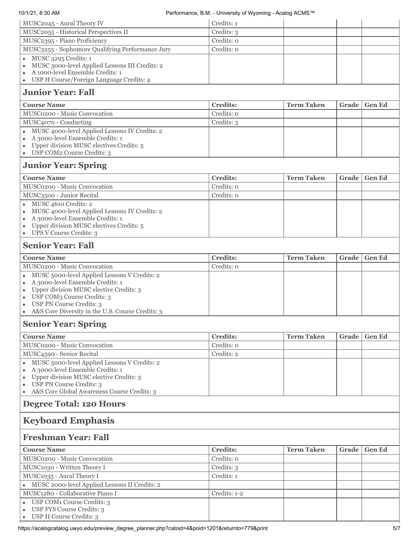| MUSC2045 - Aural Theory IV                                                                | Credits: 1                    |                   |       |               |
|-------------------------------------------------------------------------------------------|-------------------------------|-------------------|-------|---------------|
| MUSC2055 - Historical Perspectives II                                                     | Credits: 3                    |                   |       |               |
| MUSC2395 - Piano Proficiency                                                              | Credits: 0                    |                   |       |               |
| MUSC3255 - Sophomore Qualifying Performance Jury                                          | Credits: 0                    |                   |       |               |
| MUSC 3295 Credits: 1                                                                      |                               |                   |       |               |
| MUSC 3000-level Applied Lessons III Credits: 2                                            |                               |                   |       |               |
| A 1000-level Ensemble Credits: 1                                                          |                               |                   |       |               |
| USP H Course/Foreign Language Credits: 4                                                  |                               |                   |       |               |
| <b>Junior Year: Fall</b>                                                                  |                               |                   |       |               |
| <b>Course Name</b>                                                                        | <b>Credits:</b>               | <b>Term Taken</b> | Grade | <b>Gen Ed</b> |
| MUSC0200 - Music Convocation                                                              | Credits: 0                    |                   |       |               |
| MUSC4070 - Conducting                                                                     | Credits: 3                    |                   |       |               |
| MUSC 4000-level Applied Lessons IV Credits: 2                                             |                               |                   |       |               |
| A 3000-level Ensemble Credits: 1<br>$\bullet$<br>Upper division MUSC electives Credits: 5 |                               |                   |       |               |
| USP COM2 Course Credits: 3                                                                |                               |                   |       |               |
| <b>Junior Year: Spring</b>                                                                |                               |                   |       |               |
| <b>Course Name</b>                                                                        | <b>Credits:</b>               | <b>Term Taken</b> | Grade | <b>Gen Ed</b> |
| MUSC0200 - Music Convocation                                                              | Credits: 0                    |                   |       |               |
| MUSC3500 - Junior Recital                                                                 | Credits: 0                    |                   |       |               |
| MUSC 4610 Credits: 2<br>$\bullet$                                                         |                               |                   |       |               |
| MUSC 4000-level Applied Lessons IV Credits: 2                                             |                               |                   |       |               |
| A 3000-level Ensemble Credits: 1                                                          |                               |                   |       |               |
| Upper division MUSC electives Credits: 5<br>UPS V Course Credits: 3                       |                               |                   |       |               |
| <b>Senior Year: Fall</b>                                                                  |                               |                   |       |               |
|                                                                                           |                               |                   |       |               |
| <b>Course Name</b><br>MUSC0200 - Music Convocation                                        | <b>Credits:</b><br>Credits: 0 | <b>Term Taken</b> | Grade | <b>Gen Ed</b> |
| MUSC 5000-level Applied Lessons V Credits: 2                                              |                               |                   |       |               |
| A 3000-level Ensemble Credits: 1<br>٠                                                     |                               |                   |       |               |
| Upper division MUSC elective Credits: 3<br>٠                                              |                               |                   |       |               |
| USP COM3 Course Credits: 3<br>٠                                                           |                               |                   |       |               |
| USP PN Course Credits: 3                                                                  |                               |                   |       |               |
| A&S Core Diversity in the U.S. Course Credits: 3<br>$\bullet$                             |                               |                   |       |               |
| <b>Senior Year: Spring</b>                                                                |                               |                   |       |               |
| <b>Course Name</b>                                                                        | <b>Credits:</b>               | <b>Term Taken</b> | Grade | <b>Gen Ed</b> |
| MUSC0200 - Music Convocation                                                              | Credits: 0                    |                   |       |               |
| MUSC4590 - Senior Recital                                                                 | Credits: 2                    |                   |       |               |
| MUSC 5000-level Applied Lessons V Credits: 2                                              |                               |                   |       |               |
| A 3000-level Ensemble Credits: 1<br>Upper division MUSC elective Credits: 3<br>$\bullet$  |                               |                   |       |               |
| USP PN Course Credits: 3                                                                  |                               |                   |       |               |
| A&S Core Global Awareness Course Credits: 3<br>٠                                          |                               |                   |       |               |
| <b>Degree Total: 120 Hours</b>                                                            |                               |                   |       |               |
| <b>Keyboard Emphasis</b>                                                                  |                               |                   |       |               |
| <b>Freshman Year: Fall</b>                                                                |                               |                   |       |               |
|                                                                                           |                               |                   |       |               |
| <b>Course Name</b><br>MUSC0200 - Music Convocation                                        | <b>Credits:</b><br>Credits: 0 | <b>Term Taken</b> | Grade | <b>Gen Ed</b> |
| MUSC1030 - Written Theory I                                                               | Credits: 3                    |                   |       |               |
| MUSC1035 - Aural Theory I                                                                 | Credits: 1                    |                   |       |               |
| MUSC 2000-level Applied Lessons II Credits: 2                                             |                               |                   |       |               |
| MUSC1280 - Collaborative Piano I                                                          | Credits: 1-2                  |                   |       |               |
| USP COM <sub>1</sub> Course Credits: 3                                                    |                               |                   |       |               |
| USP FYS Course Credits: 3                                                                 |                               |                   |       |               |
| USP H Course Credits: 3<br>$\bullet$                                                      |                               |                   |       |               |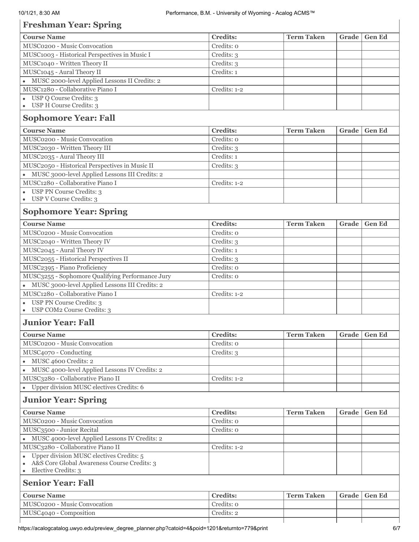# **Freshman Year: Spring**

| 11 Comman Tear : Spring                                  |                 |                   |       |               |
|----------------------------------------------------------|-----------------|-------------------|-------|---------------|
| <b>Course Name</b>                                       | <b>Credits:</b> | <b>Term Taken</b> | Grade | <b>Gen Ed</b> |
| MUSC0200 - Music Convocation                             | Credits: o      |                   |       |               |
| MUSC1003 - Historical Perspectives in Music I            | Credits: 3      |                   |       |               |
| MUSC1040 - Written Theory II                             | Credits: 3      |                   |       |               |
| MUSC1045 - Aural Theory II                               | Credits: 1      |                   |       |               |
| · MUSC 2000-level Applied Lessons II Credits: 2          |                 |                   |       |               |
| MUSC1280 - Collaborative Piano I                         | Credits: 1-2    |                   |       |               |
| USP Q Course Credits: 3                                  |                 |                   |       |               |
| USP H Course Credits: 3<br>$\bullet$                     |                 |                   |       |               |
| <b>Sophomore Year: Fall</b>                              |                 |                   |       |               |
| <b>Course Name</b>                                       | <b>Credits:</b> | <b>Term Taken</b> | Grade | <b>Gen Ed</b> |
| MUSC0200 - Music Convocation                             | Credits: o      |                   |       |               |
| MUSC2030 - Written Theory III                            | Credits: 3      |                   |       |               |
| MUSC2035 - Aural Theory III                              | Credits: 1      |                   |       |               |
| MUSC2050 - Historical Perspectives in Music II           | Credits: 3      |                   |       |               |
| • MUSC 3000-level Applied Lessons III Credits: 2         |                 |                   |       |               |
| MUSC1280 - Collaborative Piano I                         | Credits: 1-2    |                   |       |               |
| USP PN Course Credits: 3                                 |                 |                   |       |               |
| USP V Course Credits: 3                                  |                 |                   |       |               |
| <b>Sophomore Year: Spring</b>                            |                 |                   |       |               |
| <b>Course Name</b>                                       | <b>Credits:</b> | <b>Term Taken</b> | Grade | <b>Gen Ed</b> |
| MUSC0200 - Music Convocation                             | Credits: 0      |                   |       |               |
| MUSC2040 - Written Theory IV                             | Credits: 3      |                   |       |               |
| MUSC2045 - Aural Theory IV                               | Credits: 1      |                   |       |               |
| MUSC2055 - Historical Perspectives II                    | Credits: 3      |                   |       |               |
| MUSC2395 - Piano Proficiency                             | Credits: o      |                   |       |               |
| MUSC3255 - Sophomore Qualifying Performance Jury         | Credits: o      |                   |       |               |
| • MUSC 3000-level Applied Lessons III Credits: 2         |                 |                   |       |               |
| MUSC1280 - Collaborative Piano I                         | Credits: 1-2    |                   |       |               |
| <b>USP PN Course Credits: 3</b>                          |                 |                   |       |               |
| USP COM2 Course Credits: 3                               |                 |                   |       |               |
| <b>Junior Year: Fall</b>                                 |                 |                   |       |               |
|                                                          |                 |                   |       |               |
| <b>Course Name</b>                                       | <b>Credits:</b> | <b>Term Taken</b> | Grade | Gen Ed        |
| MUSC0200 - Music Convocation                             | Credits: o      |                   |       |               |
| MUSC4070 - Conducting                                    | Credits: 3      |                   |       |               |
| · MUSC 4600 Credits: 2                                   |                 |                   |       |               |
| • MUSC 4000-level Applied Lessons IV Credits: 2          |                 |                   |       |               |
| MUSC3280 - Collaborative Piano II                        | Credits: 1-2    |                   |       |               |
| • Upper division MUSC electives Credits: 6               |                 |                   |       |               |
| <b>Junior Year: Spring</b>                               |                 |                   |       |               |
| <b>Course Name</b>                                       | <b>Credits:</b> | <b>Term Taken</b> | Grade | <b>Gen Ed</b> |
| MUSC0200 - Music Convocation                             | Credits: o      |                   |       |               |
| MUSC3500 - Junior Recital                                | Credits: o      |                   |       |               |
| • MUSC 4000-level Applied Lessons IV Credits: 2          |                 |                   |       |               |
| MUSC3280 - Collaborative Piano II                        | Credits: 1-2    |                   |       |               |
| Upper division MUSC electives Credits: 5<br>$\bullet$    |                 |                   |       |               |
| A&S Core Global Awareness Course Credits: 3<br>$\bullet$ |                 |                   |       |               |
| Elective Credits: 3<br>$\bullet$                         |                 |                   |       |               |
| <b>Senior Year: Fall</b>                                 |                 |                   |       |               |
| <b>Course Name</b>                                       | <b>Credits:</b> | <b>Term Taken</b> | Grade | <b>Gen Ed</b> |
| MUSC0200 - Music Convocation                             | Credits: o      |                   |       |               |
| MUSC4040 - Composition                                   | Credits: 2      |                   |       |               |
|                                                          |                 |                   |       |               |

 $\overline{1}$